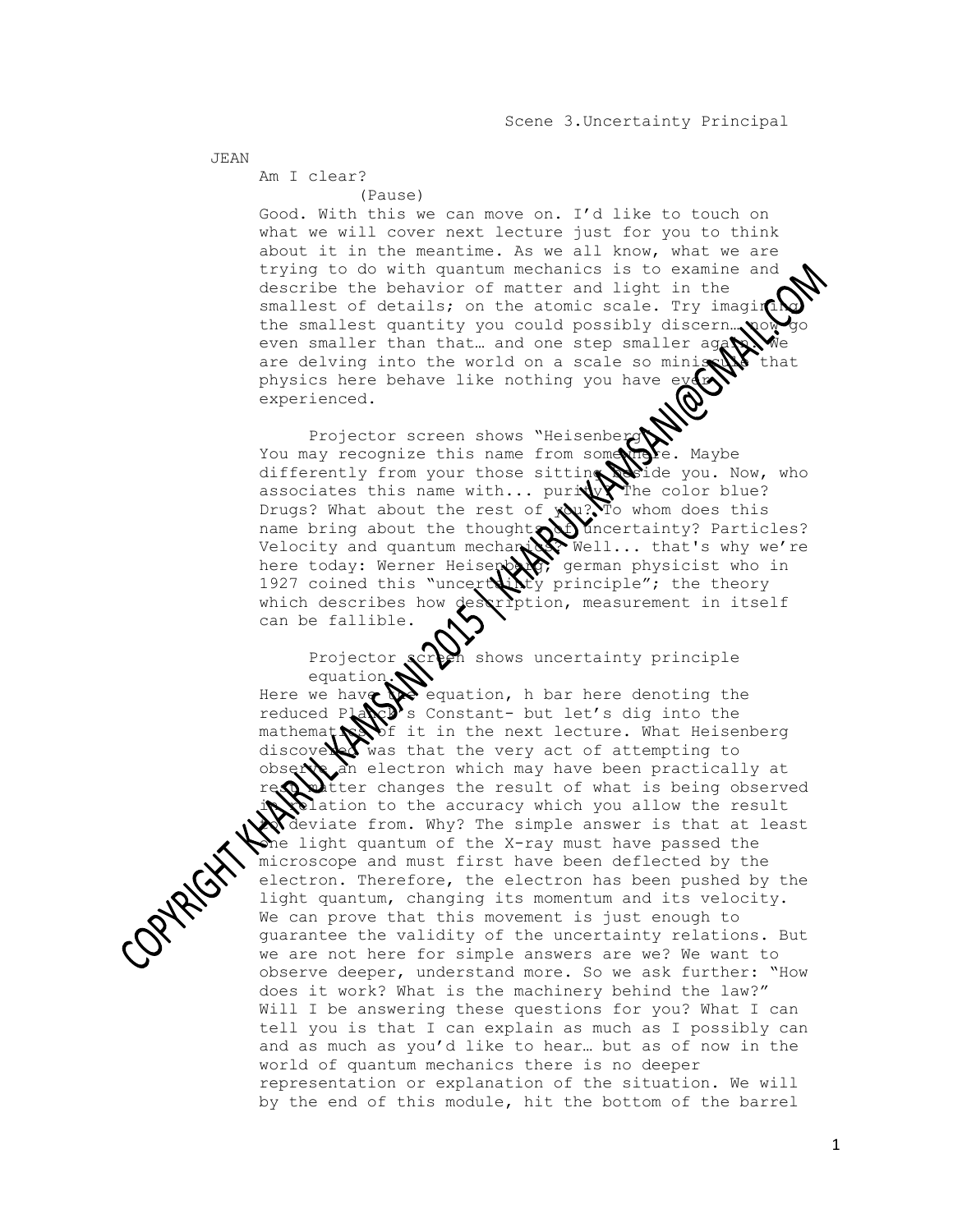JEAN

 Am I clear? (Pause)

 Good. With this we can move on. I'd like to touch on what we will cover next lecture just for you to think about it in the meantime. As we all know, what we are trying to do with quantum mechanics is to examine and describe the behavior of matter and light in the smallest of details; on the atomic scale. Try imagi the smallest quantity you could possibly discern even smaller than that... and one step smaller ag are delving into the world on a scale so miniscule that physics here behave like nothing you have experienced.

Projector screen shows "Heisenberg" You may recognize this name from some the. Maybe differently from your those sitting beide you. Now, who associates this name with... purity? The color blue? differently from your those with... puriture color blue?<br>associates this name with... puriture The color blue? name bring about the thought of uncertainty? Particles? Velocity and quantum mechanics. Well... that's why we're here today: Werner Heisenberg german physicist who in 1927 coined this "uncertivity principle"; the theory which describes how description, measurement in itself can be fallible.

> Projector screen shows uncertainty principle equation.

Here we have  $\mathbb{R}$  equation, h bar here denoting the reduced Pla $\mathbb{R}^n$ 's Constant- but let's dig into the mathemat $\sum f$  it in the next lecture. What Heisenberg mathemat was it in the next lecture. What Heise observe an electron which may have been practically at witter changes the result of what is being observed clation to the accuracy which you allow the result deviate from. Why? The simple answer is that at least me light quantum of the X-ray must have passed the microscope and must first have been deflected by the electron. Therefore, the electron has been pushed by the light quantum, changing its momentum and its velocity. We can prove that this movement is just enough to guarantee the validity of the uncertainty relations. But we are not here for simple answers are we? We want to observe deeper, understand more. So we ask further: "How does it work? What is the machinery behind the law?" Will I be answering these questions for you? What I can tell you is that I can explain as much as I possibly can and as much as you'd like to hear… but as of now in the world of quantum mechanics there is no deeper representation or explanation of the situation. We will by the end of this module, hit the bottom of the barrel

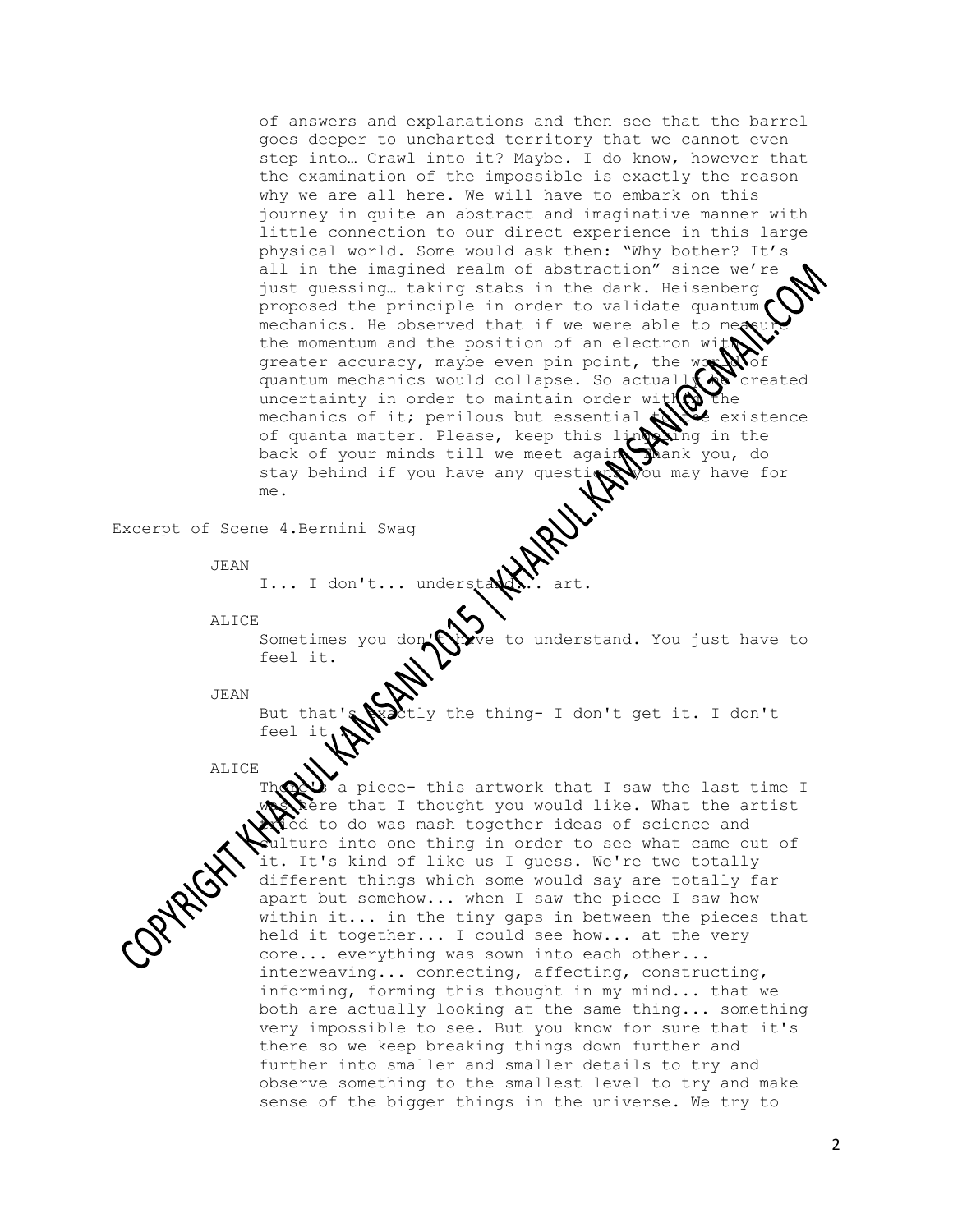of answers and explanations and then see that the barrel goes deeper to uncharted territory that we cannot even step into… Crawl into it? Maybe. I do know, however that the examination of the impossible is exactly the reason why we are all here. We will have to embark on this journey in quite an abstract and imaginative manner with little connection to our direct experience in this large physical world. Some would ask then: "Why bother? It's all in the imagined realm of abstraction" since we're just guessing… taking stabs in the dark. Heisenberg proposed the principle in order to validate quantum mechanics. He observed that if we were able to me the momentum and the position of an electron wi greater accuracy, maybe even pin point, the  $w_S$ quantum mechanics would collapse. So actuall  $\mathbf{A}$  created uncertainty in order to maintain order with the mechanics of it; perilous but essential  $\mathbb{R}$  existence of quanta matter. Please, keep this ling the the back of your minds till we meet again thank you, do stay behind if you have any questions you may have for me.

Excerpt of Scene 4.Bernini Swag

JEAN

I... I don't... unders

ALICE

Sometimes you don't there to understand. You just have to feel it.

JEAN

But that's  $\mathbb{R}$  the thing- I don't get it. I don't feel it

ALICE

a piece- this artwork that I saw the last time I ere that I thought you would like. What the artist ed to do was mash together ideas of science and ulture into one thing in order to see what came out of it. It's kind of like us I guess. We're two totally different things which some would say are totally far apart but somehow... when I saw the piece I saw how within it... in the tiny gaps in between the pieces that held it together... I could see how... at the very core... everything was sown into each other... interweaving... connecting, affecting, constructing, informing, forming this thought in my mind... that we both are actually looking at the same thing... something very impossible to see. But you know for sure that it's there so we keep breaking things down further and further into smaller and smaller details to try and observe something to the smallest level to try and make sense of the bigger things in the universe. We try to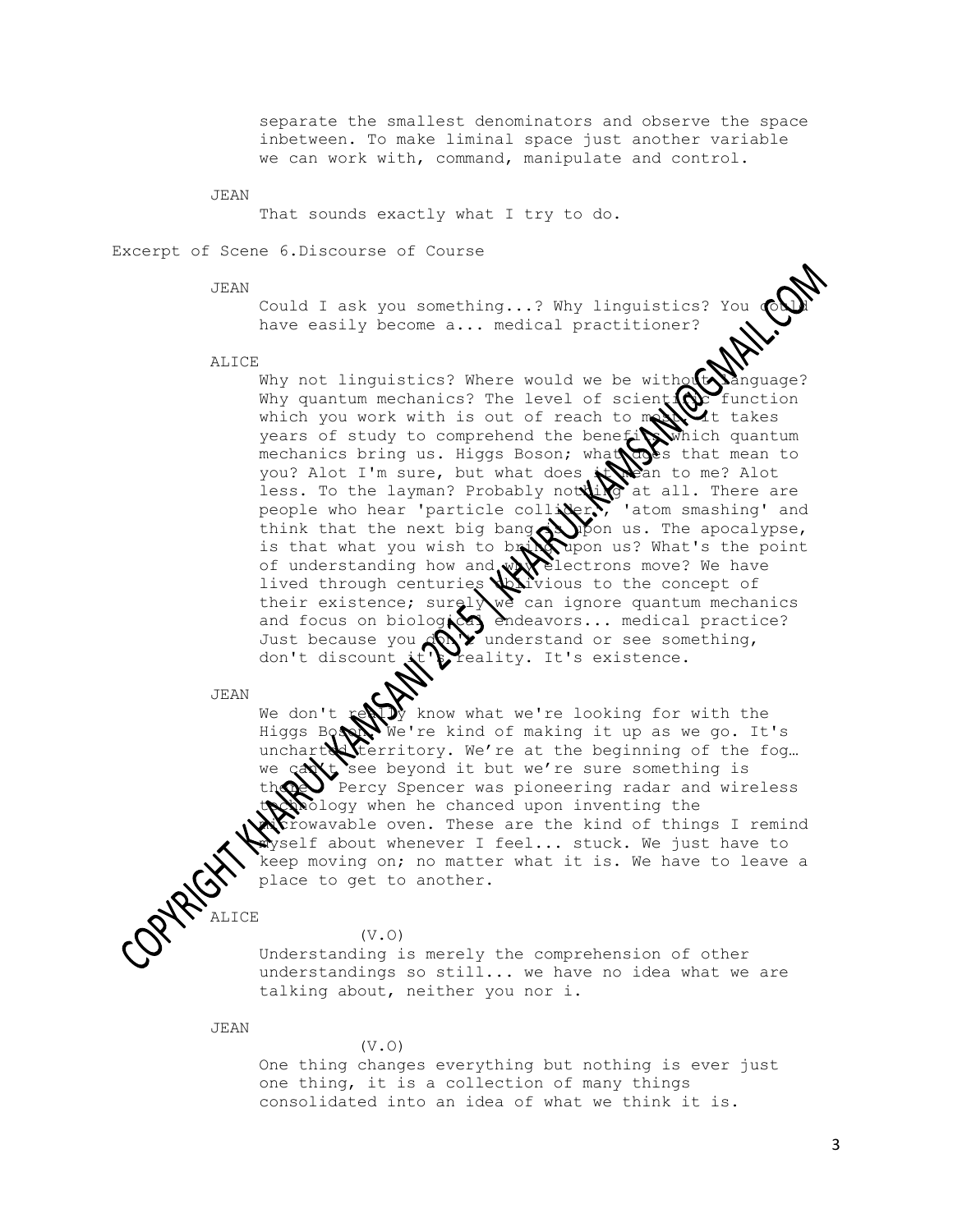separate the smallest denominators and observe the space inbetween. To make liminal space just another variable we can work with, command, manipulate and control.

JEAN

That sounds exactly what I try to do.

Excerpt of Scene 6.Discourse of Course

JEAN

Could I ask you something...? Why linguistics? You have easily become a... medical practitioner?

ALICE

Why not linguistics? Where would we be without Why quantum mechanics? The level of scient $\{Q\}$  function which you work with is out of reach to month takes years of study to comprehend the benefit which quantum mechanics bring us. Higgs Boson; what that that mean to you? Alot I'm sure, but what does  $\star$  mean to me? Alot less. To the layman? Probably not  $\bigcup_{i=1}^{\infty}$  at all. There are people who hear 'particle collider.', 'atom smashing' and think that the next big bang  $\bigotimes$  ipon us. The apocalypse, is that what you wish to bring upon us? What's the point of understanding how and  $\mathbb{W}$  electrons move? We have lived through centuries  $\sum i$  vious to the concept of their existence; surely we can ignore quantum mechanics and focus on biological endeavors... medical practice? Just because you  $\mathbb{Q} \setminus \mathbb{Q}$  understand or see something, don't discount it's reality. It's existence.

JEAN

We don't  $\mathbf{x} \in \mathbb{R}$  know what we're looking for with the Higgs Boson We're kind of making it up as we go. It's uncharted territory. We're at the beginning of the fog... we  $\cosh t$  see beyond it but we're sure something is unchart territory. We're at the beginning of the tog...<br>we can't see beyond it but we're sure something is<br>there Percy Spencer was pioneering radar and wireless thology when he chanced upon inventing the prowavable oven. These are the kind of things I remind myself about whenever I feel... stuck. We just have to keep moving on; no matter what it is. We have to leave a place to get to another.

(V.O)

 Understanding is merely the comprehension of other understandings so still... we have no idea what we are talking about, neither you nor i.

JEAN

ALICE

# (V.O)

 One thing changes everything but nothing is ever just one thing, it is a collection of many things consolidated into an idea of what we think it is.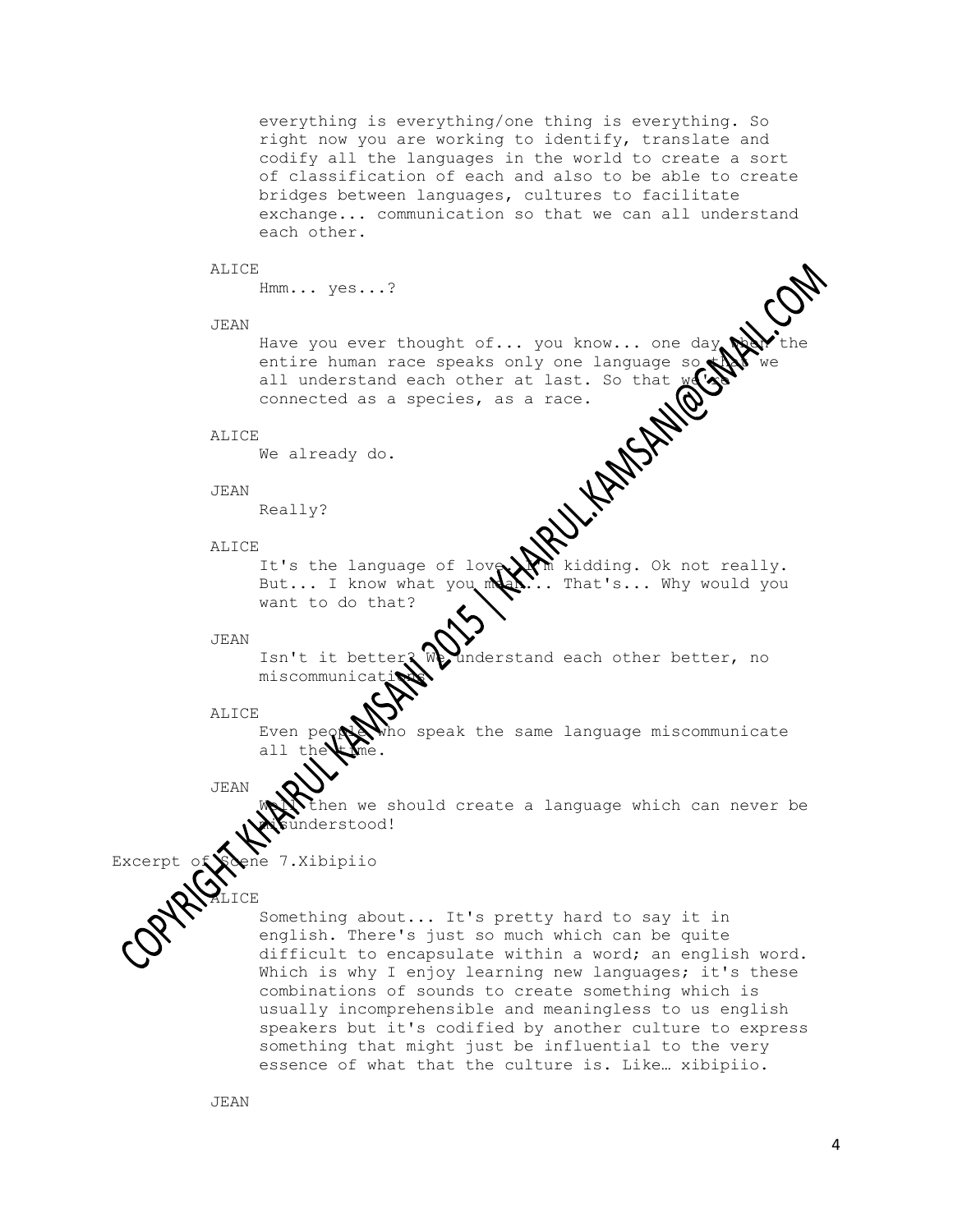everything is everything/one thing is everything. So right now you are working to identify, translate and codify all the languages in the world to create a sort of classification of each and also to be able to create bridges between languages, cultures to facilitate exchange... communication so that we can all understand each other.

# ALICE

```
 Hmm... yes...?
```
#### JEAN

Have you ever thought of... you know... one day<br>entire human race speaks only one language so<br>all understand each other at last. So that we<br>connected as a species, as a race.<br>We already do.<br>Really? entire human race speaks only one language so all understand each other at last. So that connected as a species, as a race.

# ALICE

We already do.

#### JEAN

Really?

# ALICE

It's the language of love. I'm kidding. Ok not really. But... I know what you  $\mathbb{M}$ ... That's... Why would you want to do that?

# JEAN

Isn't it better? We understand each other better, no miscommunica

# ALICE

Even peoper who speak the same language miscommunicate all the  $\blacktriangleright$  me.

# JEAN

hen we should create a language which can never be nderstood!

Excerpt of Sone 7.Xibipiio

**ALICE** 

 Something about... It's pretty hard to say it in english. There's just so much which can be quite difficult to encapsulate within a word; an english word. Which is why I enjoy learning new languages; it's these combinations of sounds to create something which is usually incomprehensible and meaningless to us english speakers but it's codified by another culture to express something that might just be influential to the very essence of what that the culture is. Like… xibipiio.